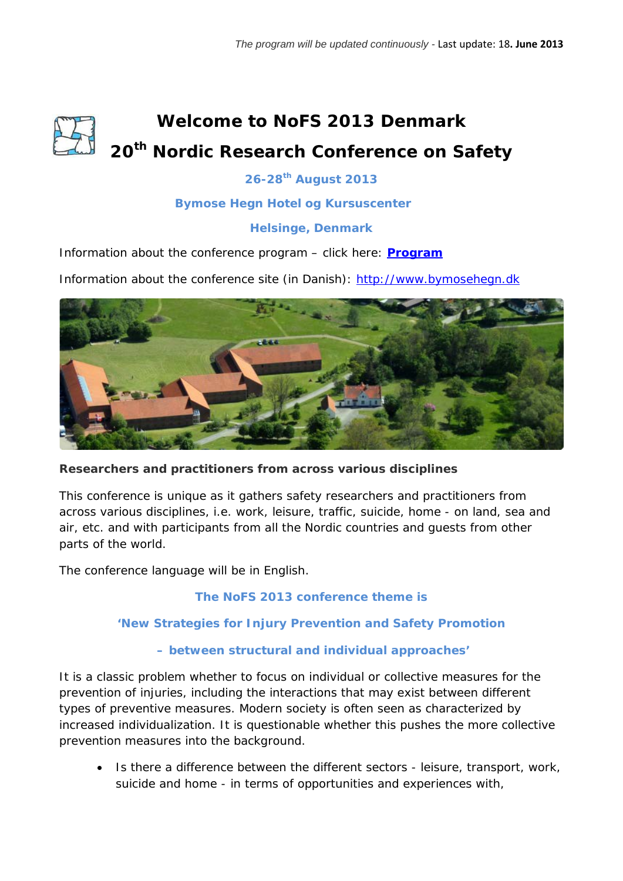# **Welcome to NoFS 2013 Denmark 20th Nordic Research Conference on Safety**

# **26-28th August 2013**

## **Bymose Hegn Hotel og Kursuscenter**

## **Helsinge, Denmark**

Information about the conference program – click here: **[Program](http://ocs.arbejdsmiljoforskning.dk/index.php/NoFS/NoFS2013/schedConf/program)**

Information about the conference site (in Danish): [http://www.bymosehegn.dk](http://www.bymosehegn.dk/)



**Researchers and practitioners from across various disciplines**

This conference is unique as it gathers safety researchers and practitioners from across various disciplines, i.e. work, leisure, traffic, suicide, home - on land, sea and air, etc. and with participants from all the Nordic countries and guests from other parts of the world.

The conference language will be in English.

## **The NoFS 2013 conference theme is**

## **'New Strategies for Injury Prevention and Safety Promotion**

## **– between structural and individual approaches'**

It is a classic problem whether to focus on individual or collective measures for the prevention of injuries, including the interactions that may exist between different types of preventive measures. Modern society is often seen as characterized by increased individualization. It is questionable whether this pushes the more collective prevention measures into the background.

• Is there a difference between the different sectors - leisure, transport, work, suicide and home - in terms of opportunities and experiences with,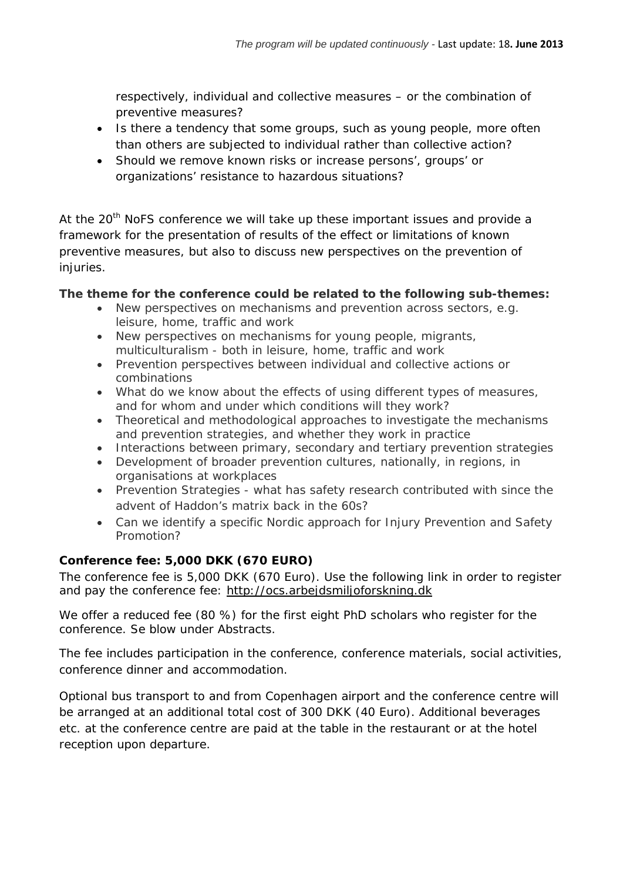respectively, individual and collective measures – or the combination of preventive measures?

- Is there a tendency that some groups, such as young people, more often than others are subjected to individual rather than collective action?
- Should we remove known risks or increase persons', groups' or organizations' resistance to hazardous situations?

At the  $20<sup>th</sup>$  NoFS conference we will take up these important issues and provide a framework for the presentation of results of the effect or limitations of known preventive measures, but also to discuss new perspectives on the prevention of injuries.

## **The theme for the conference could be related to the following sub-themes:**

- New perspectives on mechanisms and prevention across sectors, e.g. leisure, home, traffic and work
- New perspectives on mechanisms for young people, migrants, multiculturalism - both in leisure, home, traffic and work
- Prevention perspectives between individual and collective actions or combinations
- What do we know about the effects of using different types of measures, and for whom and under which conditions will they work?
- Theoretical and methodological approaches to investigate the mechanisms and prevention strategies, and whether they work in practice
- Interactions between primary, secondary and tertiary prevention strategies
- Development of broader prevention cultures, nationally, in regions, in organisations at workplaces
- Prevention Strategies what has safety research contributed with since the advent of Haddon's matrix back in the 60s?
- Can we identify a specific Nordic approach for Injury Prevention and Safety Promotion?

## **Conference fee: 5,000 DKK (670 EURO)**

The conference fee is 5,000 DKK (670 Euro). Use the following link in order to register and pay the conference fee: [http://ocs.arbejdsmiljoforskning.dk](http://ocs.arbejdsmiljoforskning.dk/)

We offer a reduced fee (80 %) for the first eight PhD scholars who register for the conference. Se blow under Abstracts.

The fee includes participation in the conference, conference materials, social activities, conference dinner and accommodation.

Optional bus transport to and from Copenhagen airport and the conference centre will be arranged at an additional total cost of 300 DKK (40 Euro). Additional beverages etc. at the conference centre are paid at the table in the restaurant or at the hotel reception upon departure.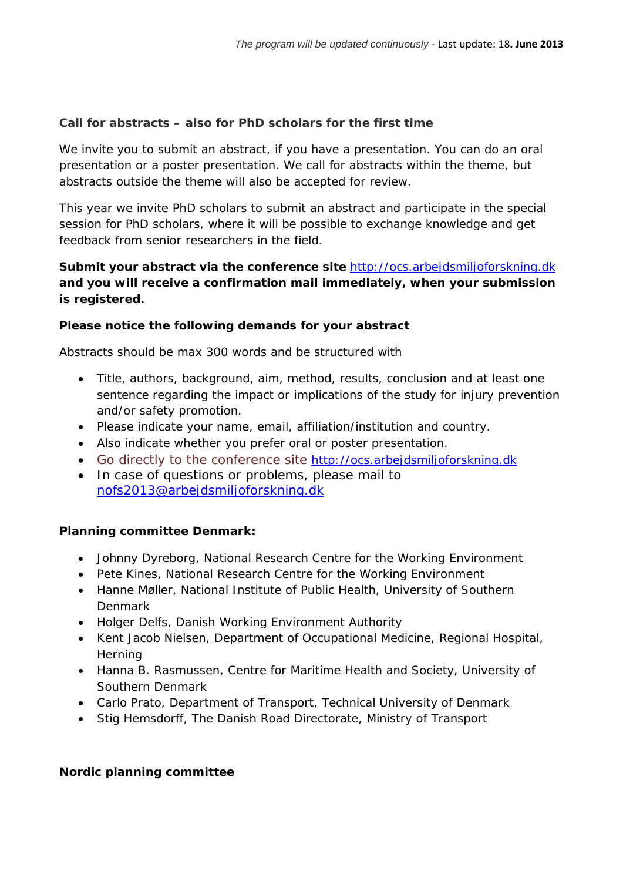## **Call for abstracts – also for PhD scholars for the first time**

We invite you to submit an abstract, if you have a presentation. You can do an oral presentation or a poster presentation. We call for abstracts within the theme, but abstracts outside the theme will also be accepted for review.

This year we invite PhD scholars to submit an abstract and participate in the special session for PhD scholars, where it will be possible to exchange knowledge and get feedback from senior researchers in the field.

## **Submit your abstract via the conference site** [http://ocs.arbejdsmiljoforskning.dk](http://ocs.arbejdsmiljoforskning.dk/) **and you will receive a confirmation mail immediately, when your submission is registered.**

## **Please notice the following demands for your abstract**

Abstracts should be max 300 words and be structured with

- Title, authors, background, aim, method, results, conclusion and at least one sentence regarding the impact or implications of the study for injury prevention and/or safety promotion.
- Please indicate your name, email, affiliation/institution and country.
- Also indicate whether you prefer oral or poster presentation.
- Go directly to the conference site [http://ocs.arbejdsmiljoforskning.dk](http://ocs.arbejdsmiljoforskning.dk/)
- In case of questions or problems, please mail to [nofs2013@arbejdsmiljoforskning.dk](mailto:nofs2013@arbejdsmiljoforskning.dk)

## **Planning committee Denmark:**

- Johnny Dyreborg, National Research Centre for the Working Environment
- Pete Kines, National Research Centre for the Working Environment
- Hanne Møller, National Institute of Public Health, University of Southern Denmark
- Holger Delfs, Danish Working Environment Authority
- Kent Jacob Nielsen, Department of Occupational Medicine, Regional Hospital, **Herning**
- Hanna B. Rasmussen, Centre for Maritime Health and Society, University of Southern Denmark
- Carlo Prato, Department of Transport, Technical University of Denmark
- Stig Hemsdorff, The Danish Road Directorate, Ministry of Transport

## **Nordic planning committee**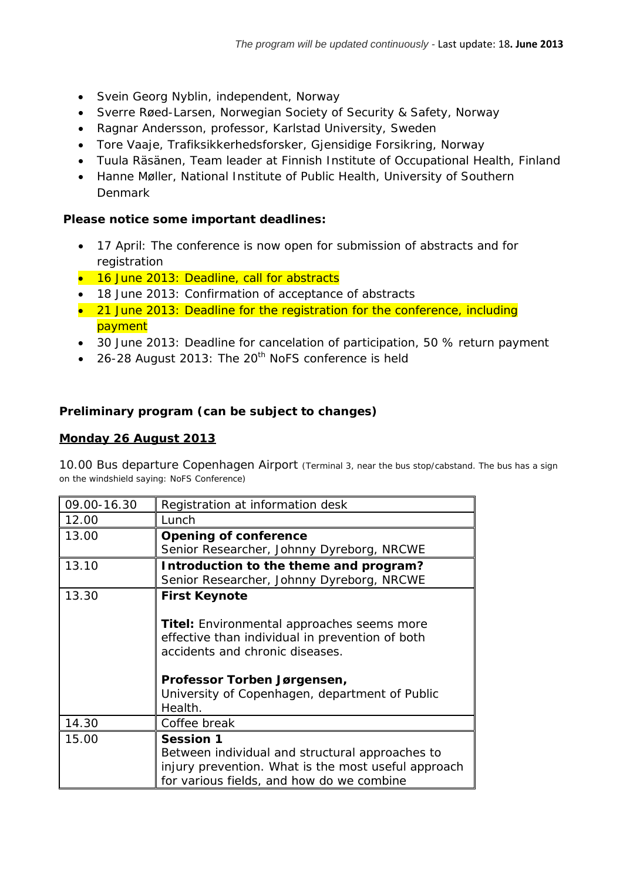- Svein Georg Nyblin, independent, Norway
- Sverre Røed-Larsen, Norwegian Society of Security & Safety, Norway
- Ragnar Andersson, professor, Karlstad University, Sweden
- Tore Vaaje, Trafiksikkerhedsforsker, Gjensidige Forsikring, Norway
- Tuula Räsänen, Team leader at Finnish Institute of Occupational Health, Finland
- Hanne Møller, National Institute of Public Health, University of Southern Denmark

## **Please notice some important deadlines:**

- 17 April: The conference is now open for submission of abstracts and for registration
- 16 June 2013: Deadline, call for abstracts
- 18 June 2013: Confirmation of acceptance of abstracts
- 21 June 2013: Deadline for the registration for the conference, including payment
- 30 June 2013: Deadline for cancelation of participation, 50 % return payment
- 26-28 August 2013: The  $20<sup>th</sup>$  NoFS conference is held

## **Preliminary program (can be subject to changes)**

#### **Monday 26 August 2013**

10.00 Bus departure Copenhagen Airport *(Terminal 3, near the bus stop/cabstand. The bus has a sign on the windshield saying: NoFS Conference)*

| 09.00-16.30 | Registration at information desk                    |
|-------------|-----------------------------------------------------|
| 12.00       | Lunch                                               |
| 13.00       | <b>Opening of conference</b>                        |
|             | Senior Researcher, Johnny Dyreborg, NRCWE           |
| 13.10       | Introduction to the theme and program?              |
|             | Senior Researcher, Johnny Dyreborg, NRCWE           |
| 13.30       | <b>First Keynote</b>                                |
|             |                                                     |
|             | Titel: Environmental approaches seems more          |
|             | effective than individual in prevention of both     |
|             | accidents and chronic diseases.                     |
|             |                                                     |
|             | Professor Torben Jørgensen,                         |
|             | University of Copenhagen, department of Public      |
|             | Health.                                             |
| 14.30       | Coffee break                                        |
| 15.00       | <b>Session 1</b>                                    |
|             | Between individual and structural approaches to     |
|             | injury prevention. What is the most useful approach |
|             | for various fields, and how do we combine           |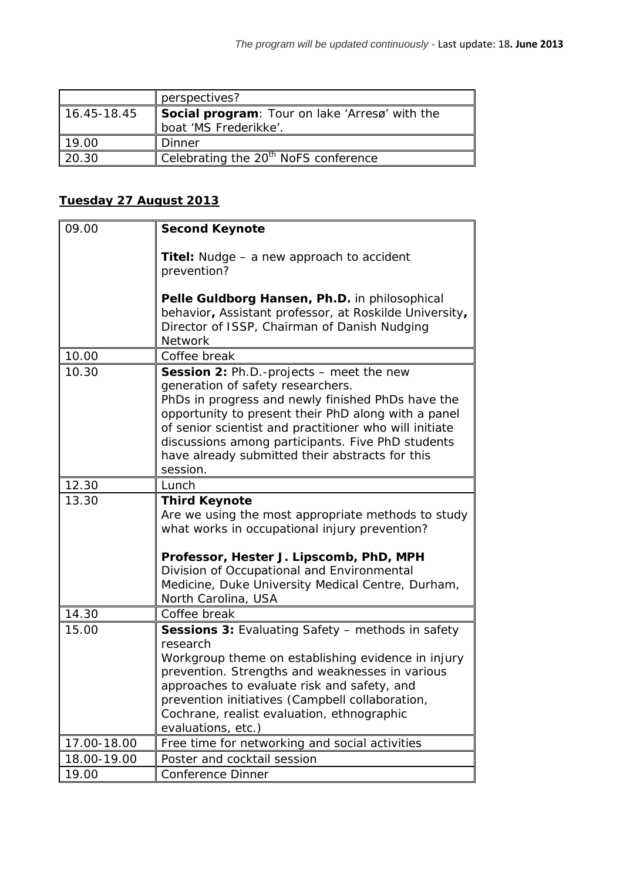|             | perspectives?                                                           |
|-------------|-------------------------------------------------------------------------|
| 16.45-18.45 | Social program: Tour on lake 'Arresø' with the<br>boat 'MS Frederikke'. |
| 19.00       | Dinner                                                                  |
| 20.30       | Celebrating the 20 <sup>th</sup> NoFS conference                        |

## **Tuesday 27 August 2013**

| 09.00       | <b>Second Keynote</b>                                                                                                                                                                                                                                                                                                                                                          |
|-------------|--------------------------------------------------------------------------------------------------------------------------------------------------------------------------------------------------------------------------------------------------------------------------------------------------------------------------------------------------------------------------------|
|             | <b>Titel:</b> Nudge – a new approach to accident<br>prevention?                                                                                                                                                                                                                                                                                                                |
|             | Pelle Guldborg Hansen, Ph.D. in philosophical<br>behavior, Assistant professor, at Roskilde University,<br>Director of ISSP, Chairman of Danish Nudging<br><b>Network</b>                                                                                                                                                                                                      |
| 10.00       | Coffee break                                                                                                                                                                                                                                                                                                                                                                   |
| 10.30       | <b>Session 2: Ph.D.-projects - meet the new</b><br>generation of safety researchers.<br>PhDs in progress and newly finished PhDs have the<br>opportunity to present their PhD along with a panel<br>of senior scientist and practitioner who will initiate<br>discussions among participants. Five PhD students<br>have already submitted their abstracts for this<br>session. |
| 12.30       | Lunch                                                                                                                                                                                                                                                                                                                                                                          |
| 13.30       | <b>Third Keynote</b><br>Are we using the most appropriate methods to study<br>what works in occupational injury prevention?<br>Professor, Hester J. Lipscomb, PhD, MPH<br>Division of Occupational and Environmental<br>Medicine, Duke University Medical Centre, Durham,<br>North Carolina, USA                                                                               |
| 14.30       | Coffee break                                                                                                                                                                                                                                                                                                                                                                   |
| 15.00       | <b>Sessions 3: Evaluating Safety - methods in safety</b><br>research<br>Workgroup theme on establishing evidence in injury<br>prevention. Strengths and weaknesses in various<br>approaches to evaluate risk and safety, and<br>prevention initiatives (Campbell collaboration,<br>Cochrane, realist evaluation, ethnographic<br>evaluations, etc.)                            |
| 17.00-18.00 | Free time for networking and social activities                                                                                                                                                                                                                                                                                                                                 |
| 18.00-19.00 | Poster and cocktail session                                                                                                                                                                                                                                                                                                                                                    |
| 19.00       | Conference Dinner                                                                                                                                                                                                                                                                                                                                                              |